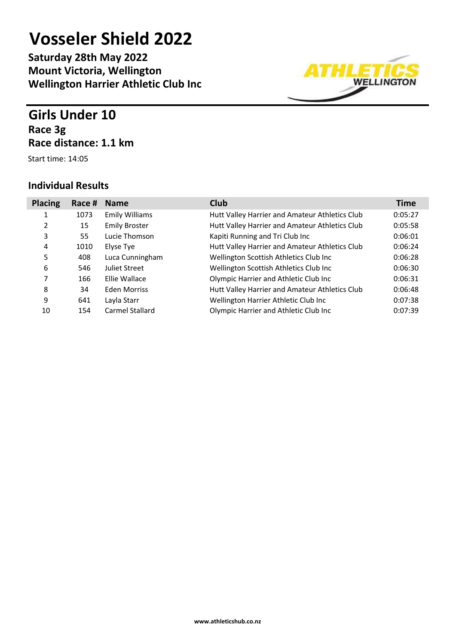**Saturday 28th May 2022 Mount Victoria, Wellington Wellington Harrier Athletic Club Inc**

### **Girls Under 10 Race 3g Race distance: 1.1 km**

Start time: 14:05



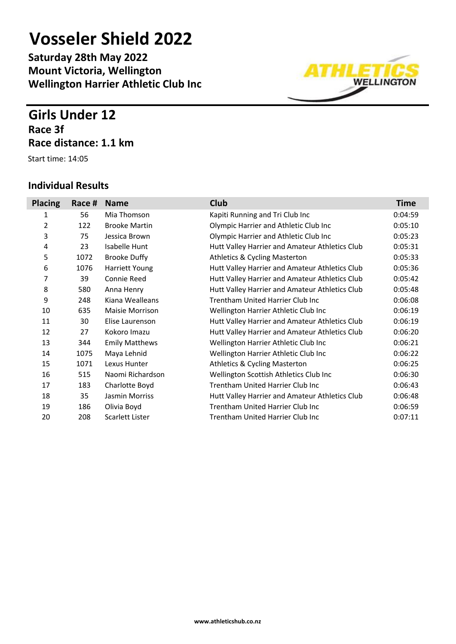**Saturday 28th May 2022 Mount Victoria, Wellington Wellington Harrier Athletic Club Inc**

### **Girls Under 12 Race 3f Race distance: 1.1 km**

Start time: 14:05



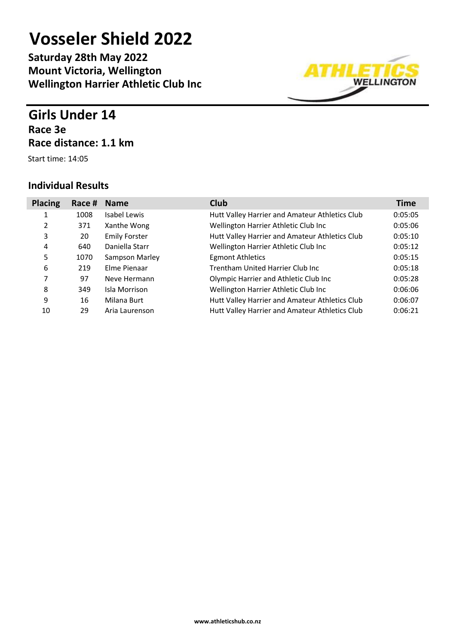**Saturday 28th May 2022 Mount Victoria, Wellington Wellington Harrier Athletic Club Inc**

### **Girls Under 14 Race 3e Race distance: 1.1 km**

Start time: 14:05



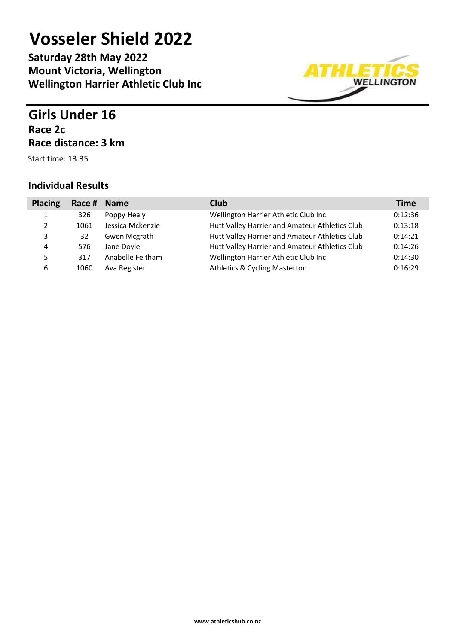**Saturday 28th May 2022 Mount Victoria, Wellington Wellington Harrier Athletic Club Inc**

## **Girls Under 16 Race 2c Race distance: 3 km**

Start time: 13:35

| <b>Placing</b> | Race # Name |                  | <b>Club</b>                                    | <b>Time</b> |
|----------------|-------------|------------------|------------------------------------------------|-------------|
| 1              | 326         | Poppy Healy      | Wellington Harrier Athletic Club Inc           | 0:12:36     |
| 2              | 1061        | Jessica Mckenzie | Hutt Valley Harrier and Amateur Athletics Club | 0:13:18     |
| 3              | 32          | Gwen Mcgrath     | Hutt Valley Harrier and Amateur Athletics Club | 0:14:21     |
| 4              | 576         | Jane Doyle       | Hutt Valley Harrier and Amateur Athletics Club | 0:14:26     |
| 5              | 317         | Anabelle Feltham | Wellington Harrier Athletic Club Inc           | 0:14:30     |
| 6              | 1060        | Ava Register     | <b>Athletics &amp; Cycling Masterton</b>       | 0:16:29     |

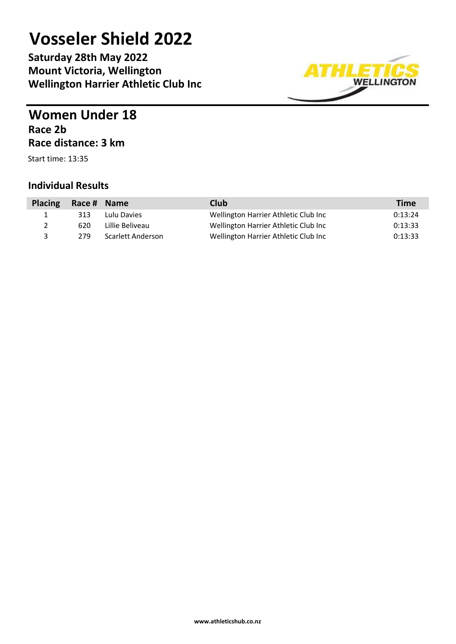**Saturday 28th May 2022 Mount Victoria, Wellington Wellington Harrier Athletic Club Inc**



### **Women Under 18 Race 2b Race distance: 3 km**

Start time: 13:35

| <b>Placing</b> | Race # Name |                   | Club                                 | <b>Time</b> |
|----------------|-------------|-------------------|--------------------------------------|-------------|
|                | 313         | Lulu Davies       | Wellington Harrier Athletic Club Inc | 0:13:24     |
|                | 620         | Lillie Beliveau   | Wellington Harrier Athletic Club Inc | 0:13:33     |
|                | 279         | Scarlett Anderson | Wellington Harrier Athletic Club Inc | 0:13:33     |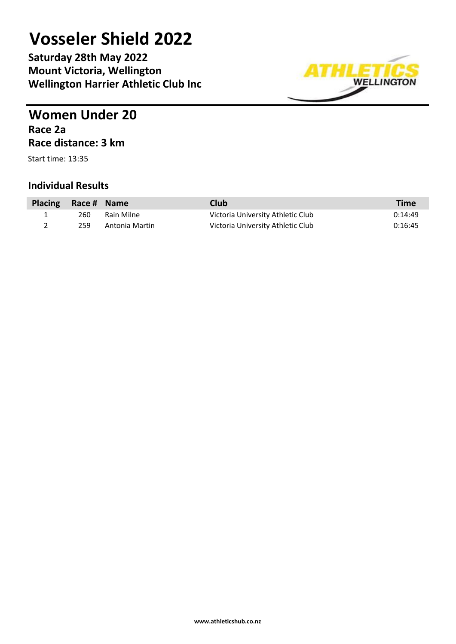**Saturday 28th May 2022 Mount Victoria, Wellington Wellington Harrier Athletic Club Inc**



### **Women Under 20 Race 2a Race distance: 3 km**

Start time: 13:35

| Placing Race # Name |     |                | Club                              | Time    |
|---------------------|-----|----------------|-----------------------------------|---------|
|                     | 260 | Rain Milne     | Victoria University Athletic Club | 0:14:49 |
|                     | 259 | Antonia Martin | Victoria University Athletic Club | 0:16:45 |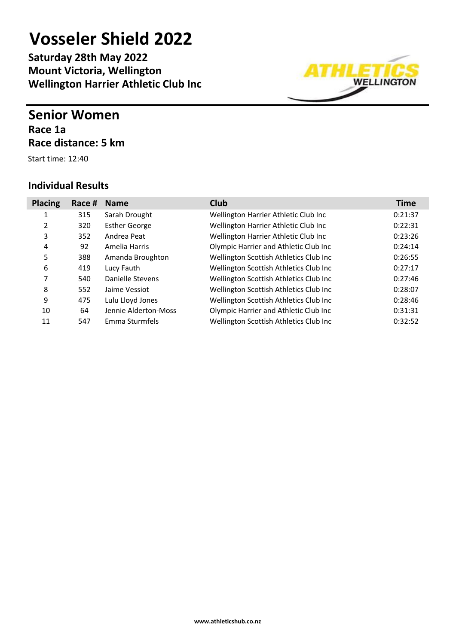**Saturday 28th May 2022 Mount Victoria, Wellington Wellington Harrier Athletic Club Inc**

### **Senior Women Race 1a Race distance: 5 km**

Start time: 12:40

| <b>Placing</b> | Race # | <b>Name</b>          | <b>Club</b>                            | <b>Time</b> |
|----------------|--------|----------------------|----------------------------------------|-------------|
| 1              | 315    | Sarah Drought        | Wellington Harrier Athletic Club Inc   | 0:21:37     |
| 2              | 320    | <b>Esther George</b> | Wellington Harrier Athletic Club Inc   | 0:22:31     |
| 3              | 352    | Andrea Peat          | Wellington Harrier Athletic Club Inc   | 0:23:26     |
| 4              | 92     | Amelia Harris        | Olympic Harrier and Athletic Club Inc  | 0:24:14     |
| 5              | 388    | Amanda Broughton     | Wellington Scottish Athletics Club Inc | 0:26:55     |
| 6              | 419    | Lucy Fauth           | Wellington Scottish Athletics Club Inc | 0:27:17     |
| 7              | 540    | Danielle Stevens     | Wellington Scottish Athletics Club Inc | 0:27:46     |
| 8              | 552    | Jaime Vessiot        | Wellington Scottish Athletics Club Inc | 0:28:07     |
| 9              | 475    | Lulu Lloyd Jones     | Wellington Scottish Athletics Club Inc | 0:28:46     |
| 10             | 64     | Jennie Alderton-Moss | Olympic Harrier and Athletic Club Inc  | 0:31:31     |
| 11             | 547    | Emma Sturmfels       | Wellington Scottish Athletics Club Inc | 0:32:52     |

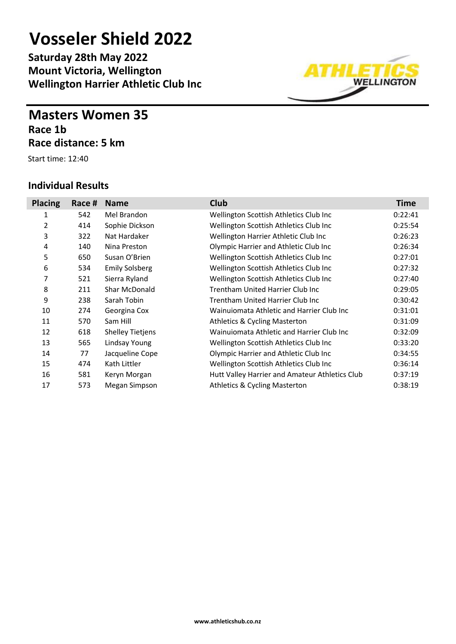**Saturday 28th May 2022 Mount Victoria, Wellington Wellington Harrier Athletic Club Inc**

### **Masters Women 35 Race 1b Race distance: 5 km**

Start time: 12:40



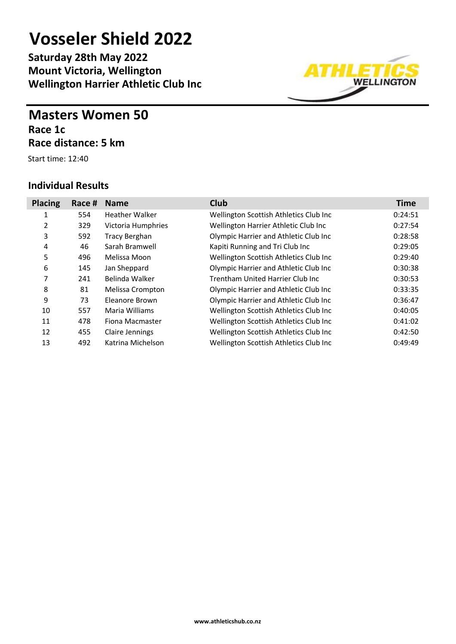**Saturday 28th May 2022 Mount Victoria, Wellington Wellington Harrier Athletic Club Inc**

### **Masters Women 50 Race 1c Race distance: 5 km**

Start time: 12:40

| <b>Placing</b> | Race # | <b>Name</b>           | <b>Club</b>                            | <b>Time</b> |
|----------------|--------|-----------------------|----------------------------------------|-------------|
| 1              | 554    | <b>Heather Walker</b> | Wellington Scottish Athletics Club Inc | 0:24:51     |
| 2              | 329    | Victoria Humphries    | Wellington Harrier Athletic Club Inc   | 0:27:54     |
| 3              | 592    | <b>Tracy Berghan</b>  | Olympic Harrier and Athletic Club Inc  | 0:28:58     |
| 4              | 46     | Sarah Bramwell        | Kapiti Running and Tri Club Inc        | 0:29:05     |
| 5              | 496    | Melissa Moon          | Wellington Scottish Athletics Club Inc | 0:29:40     |
| 6              | 145    | Jan Sheppard          | Olympic Harrier and Athletic Club Inc  | 0:30:38     |
| 7              | 241    | Belinda Walker        | Trentham United Harrier Club Inc       | 0:30:53     |
| 8              | 81     | Melissa Crompton      | Olympic Harrier and Athletic Club Inc  | 0:33:35     |
| 9              | 73     | Eleanore Brown        | Olympic Harrier and Athletic Club Inc  | 0:36:47     |
| 10             | 557    | Maria Williams        | Wellington Scottish Athletics Club Inc | 0:40:05     |
| 11             | 478    | Fiona Macmaster       | Wellington Scottish Athletics Club Inc | 0:41:02     |
| 12             | 455    | Claire Jennings       | Wellington Scottish Athletics Club Inc | 0:42:50     |
| 13             | 492    | Katrina Michelson     | Wellington Scottish Athletics Club Inc | 0:49:49     |

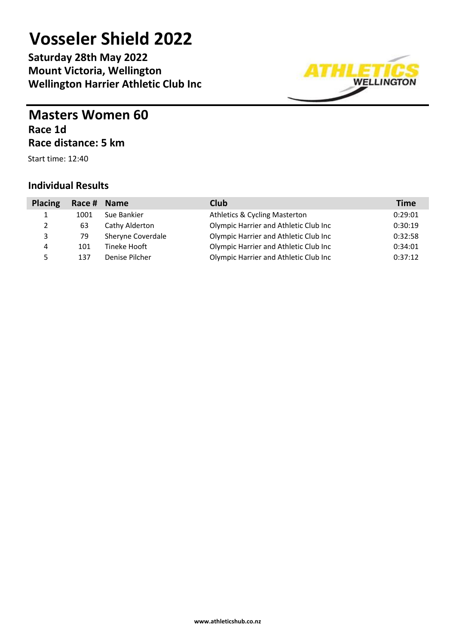**Saturday 28th May 2022 Mount Victoria, Wellington Wellington Harrier Athletic Club Inc**



### **Masters Women 60 Race 1d Race distance: 5 km**

Start time: 12:40

| <b>Placing</b> | Race # Name |                   | <b>Club</b>                              | <b>Time</b> |
|----------------|-------------|-------------------|------------------------------------------|-------------|
| Ŧ.             | 1001        | Sue Bankier       | <b>Athletics &amp; Cycling Masterton</b> | 0:29:01     |
| 2              | 63          | Cathy Alderton    | Olympic Harrier and Athletic Club Inc    | 0:30:19     |
| 3              | 79          | Sheryne Coverdale | Olympic Harrier and Athletic Club Inc    | 0:32:58     |
| 4              | 101         | Tineke Hooft      | Olympic Harrier and Athletic Club Inc    | 0:34:01     |
| 5              | 137         | Denise Pilcher    | Olympic Harrier and Athletic Club Inc    | 0:37:12     |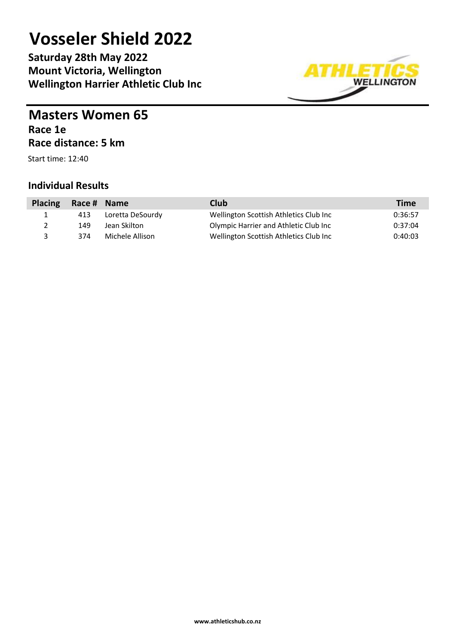**Saturday 28th May 2022 Mount Victoria, Wellington Wellington Harrier Athletic Club Inc**



### **Masters Women 65 Race 1e Race distance: 5 km**

Start time: 12:40

| <b>Placing</b> | Race # Name |                  | Club                                   | <b>Time</b> |
|----------------|-------------|------------------|----------------------------------------|-------------|
| $\mathbf{I}$   | 413         | Loretta DeSourdy | Wellington Scottish Athletics Club Inc | 0:36:57     |
|                | 149         | Jean Skilton     | Olympic Harrier and Athletic Club Inc  | 0:37:04     |
|                | 374         | Michele Allison  | Wellington Scottish Athletics Club Inc | 0:40:03     |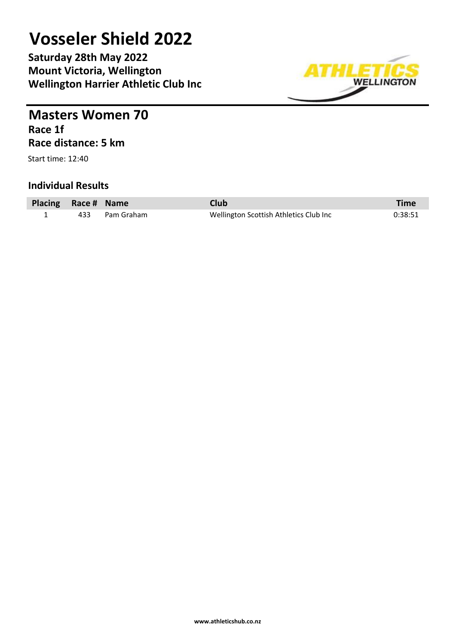**Saturday 28th May 2022 Mount Victoria, Wellington Wellington Harrier Athletic Club Inc**



**Masters Women 70 Race 1f Race distance: 5 km**

Start time: 12:40

| Placing Race # Name |                | <b>Club</b>                            | <b>Time</b> |
|---------------------|----------------|----------------------------------------|-------------|
|                     | 433 Pam Graham | Wellington Scottish Athletics Club Inc | 0:38:51     |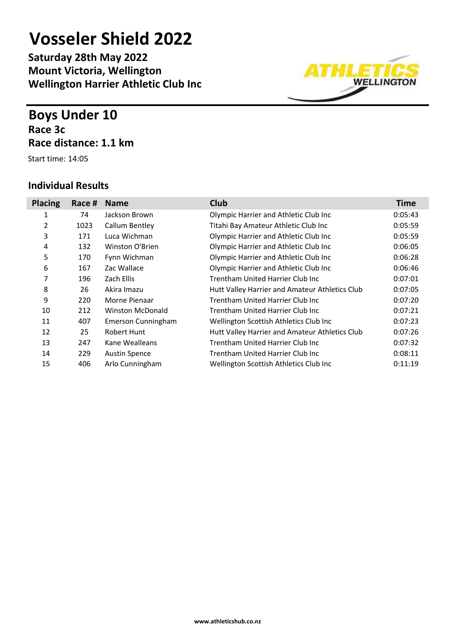**Saturday 28th May 2022 Mount Victoria, Wellington Wellington Harrier Athletic Club Inc**

### **Boys Under 10 Race 3c Race distance: 1.1 km**

Start time: 14:05



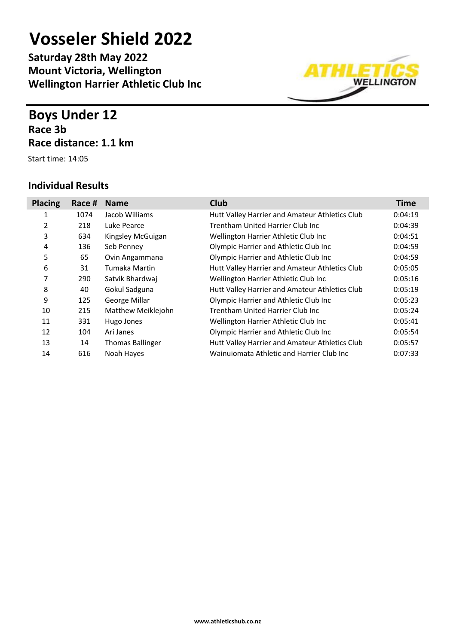**Saturday 28th May 2022 Mount Victoria, Wellington Wellington Harrier Athletic Club Inc**

### **Boys Under 12 Race 3b Race distance: 1.1 km**

Start time: 14:05

#### **Individual Results**



**www.athleticshub.co.nz**

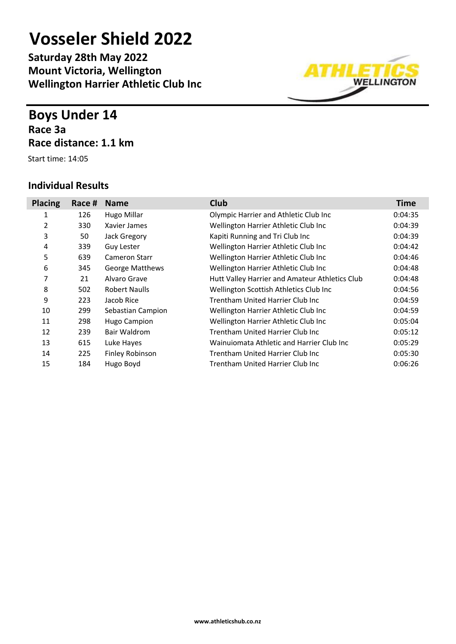**Saturday 28th May 2022 Mount Victoria, Wellington Wellington Harrier Athletic Club Inc**

### **Boys Under 14 Race 3a Race distance: 1.1 km**

Start time: 14:05



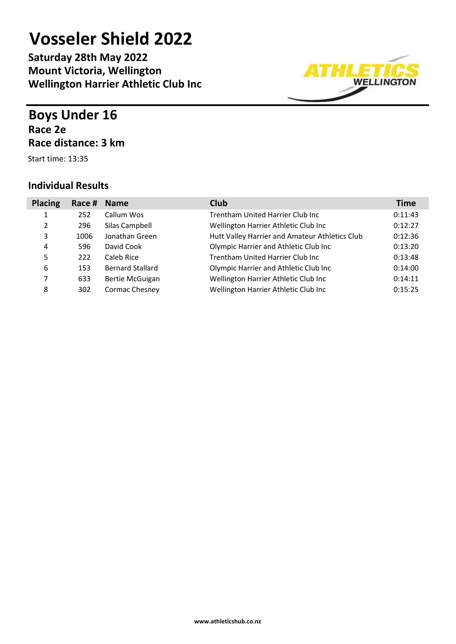**Saturday 28th May 2022 Mount Victoria, Wellington Wellington Harrier Athletic Club Inc**

### **Boys Under 16 Race 2e Race distance: 3 km**

Start time: 13:35

| <b>Placing</b> | Race # | <b>Name</b>             | <b>Club</b>                                    | <b>Time</b> |
|----------------|--------|-------------------------|------------------------------------------------|-------------|
|                | 252    | Callum Wos              | Trentham United Harrier Club Inc               | 0:11:43     |
| 2              | 296    | Silas Campbell          | Wellington Harrier Athletic Club Inc           | 0:12:27     |
| 3              | 1006   | Jonathan Green          | Hutt Valley Harrier and Amateur Athletics Club | 0:12:36     |
| 4              | 596    | David Cook              | Olympic Harrier and Athletic Club Inc          | 0:13:20     |
| 5              | 222    | Caleb Rice              | Trentham United Harrier Club Inc               | 0:13:48     |
| 6              | 153    | <b>Bernard Stallard</b> | Olympic Harrier and Athletic Club Inc          | 0:14:00     |
| 7              | 633    | Bertie McGuigan         | Wellington Harrier Athletic Club Inc           | 0:14:11     |
| 8              | 302    | Cormac Chesney          | Wellington Harrier Athletic Club Inc           | 0:15:25     |

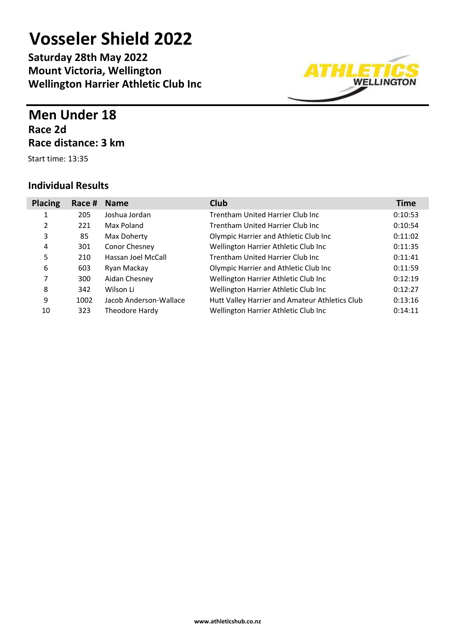**Saturday 28th May 2022 Mount Victoria, Wellington Wellington Harrier Athletic Club Inc**

## **Men Under 18 Race 2d Race distance: 3 km**

Start time: 13:35

I

| <b>Placing</b> | Race # | <b>Name</b>            | <b>Club</b>                                    | <b>Time</b> |
|----------------|--------|------------------------|------------------------------------------------|-------------|
| 1              | 205    | Joshua Jordan          | Trentham United Harrier Club Inc               | 0:10:53     |
| 2              | 221    | Max Poland             | Trentham United Harrier Club Inc               | 0:10:54     |
| 3              | 85     | Max Doherty            | Olympic Harrier and Athletic Club Inc          | 0:11:02     |
| 4              | 301    | Conor Chesney          | Wellington Harrier Athletic Club Inc           | 0:11:35     |
| 5              | 210    | Hassan Joel McCall     | Trentham United Harrier Club Inc               | 0:11:41     |
| 6              | 603    | Ryan Mackay            | Olympic Harrier and Athletic Club Inc          | 0:11:59     |
| 7              | 300    | Aidan Chesney          | Wellington Harrier Athletic Club Inc           | 0:12:19     |
| 8              | 342    | Wilson Li              | Wellington Harrier Athletic Club Inc           | 0:12:27     |
| 9              | 1002   | Jacob Anderson-Wallace | Hutt Valley Harrier and Amateur Athletics Club | 0:13:16     |
| 10             | 323    | Theodore Hardy         | Wellington Harrier Athletic Club Inc           | 0:14:11     |

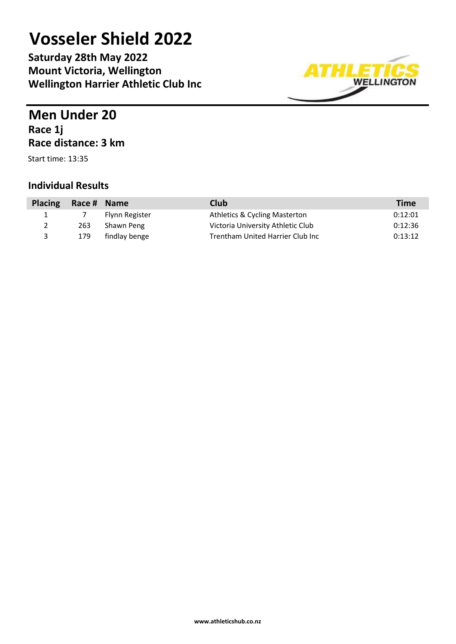**Saturday 28th May 2022 Mount Victoria, Wellington Wellington Harrier Athletic Club Inc**



### **Men Under 20 Race 1j Race distance: 3 km**

Start time: 13:35

| <b>Placing</b> | Race # Name |                | Club                              | <b>Time</b> |
|----------------|-------------|----------------|-----------------------------------|-------------|
|                |             | Flynn Register | Athletics & Cycling Masterton     | 0:12:01     |
| $\mathcal{L}$  | 263         | Shawn Peng     | Victoria University Athletic Club | 0:12:36     |
| ર              | 179         | findlay benge  | Trentham United Harrier Club Inc  | 0:13:12     |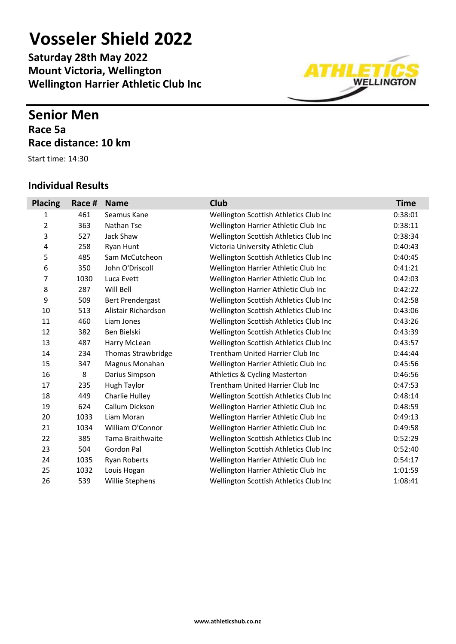**Saturday 28th May 2022 Mount Victoria, Wellington Wellington Harrier Athletic Club Inc**

### **Senior Men Race 5a Race distance: 10 km**

Start time: 14:30



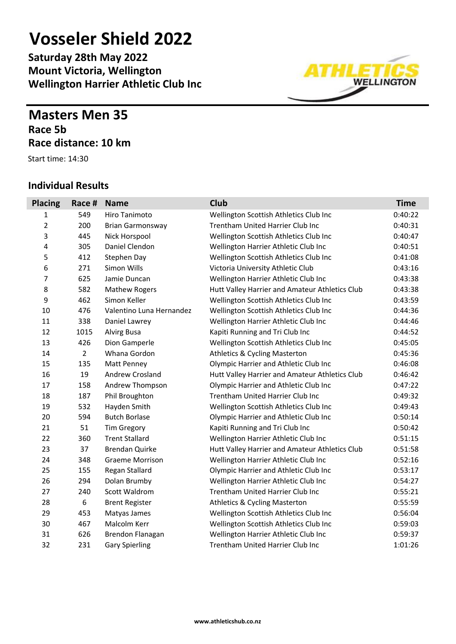**Saturday 28th May 2022 Mount Victoria, Wellington Wellington Harrier Athletic Club Inc**

### **Masters Men 35 Race 5b Race distance: 10 km**

Start time: 14:30

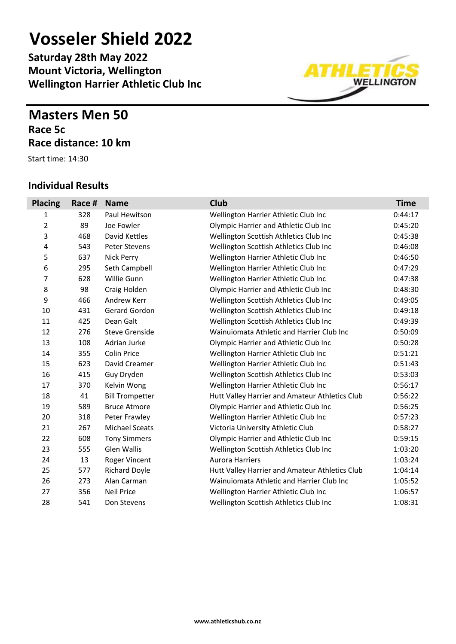**Saturday 28th May 2022 Mount Victoria, Wellington Wellington Harrier Athletic Club Inc**

### **Masters Men 50 Race 5c Race distance: 10 km**

Start time: 14:30

#### **Individual Results**



диндэн **WELLINGTON**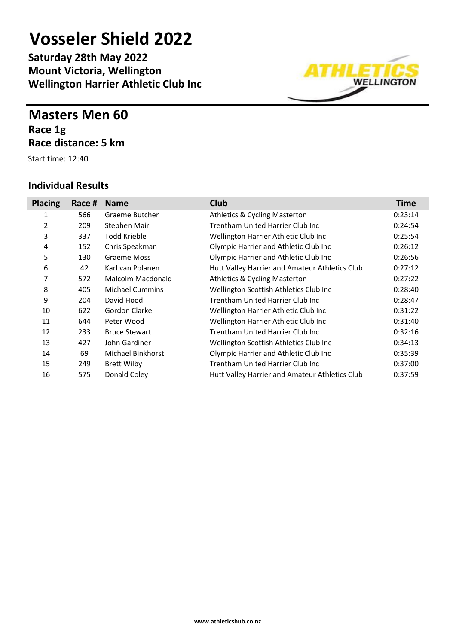**Saturday 28th May 2022 Mount Victoria, Wellington Wellington Harrier Athletic Club Inc**

### **Masters Men 60 Race 1g Race distance: 5 km**

Start time: 12:40



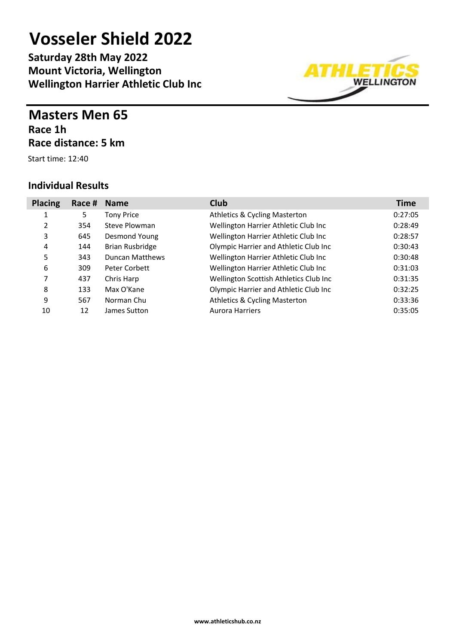**Saturday 28th May 2022 Mount Victoria, Wellington Wellington Harrier Athletic Club Inc**

### **Masters Men 65 Race 1h Race distance: 5 km**

Start time: 12:40

| <b>Placing</b> | Race # | <b>Name</b>            | <b>Club</b>                              | <b>Time</b> |
|----------------|--------|------------------------|------------------------------------------|-------------|
| 1              | 5      | <b>Tony Price</b>      | <b>Athletics &amp; Cycling Masterton</b> | 0:27:05     |
| 2              | 354    | Steve Plowman          | Wellington Harrier Athletic Club Inc     | 0:28:49     |
| 3              | 645    | Desmond Young          | Wellington Harrier Athletic Club Inc     | 0:28:57     |
| 4              | 144    | <b>Brian Rusbridge</b> | Olympic Harrier and Athletic Club Inc    | 0:30:43     |
| 5              | 343    | Duncan Matthews        | Wellington Harrier Athletic Club Inc     | 0:30:48     |
| 6              | 309    | Peter Corbett          | Wellington Harrier Athletic Club Inc     | 0:31:03     |
| 7              | 437    | Chris Harp             | Wellington Scottish Athletics Club Inc   | 0:31:35     |
| 8              | 133    | Max O'Kane             | Olympic Harrier and Athletic Club Inc    | 0:32:25     |
| 9              | 567    | Norman Chu             | <b>Athletics &amp; Cycling Masterton</b> | 0:33:36     |
| 10             | 12     | James Sutton           | <b>Aurora Harriers</b>                   | 0:35:05     |

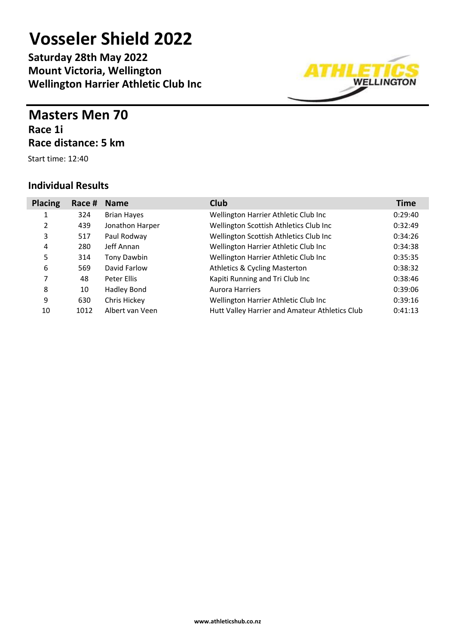**Saturday 28th May 2022 Mount Victoria, Wellington Wellington Harrier Athletic Club Inc**

### **Masters Men 70 Race 1i Race distance: 5 km**

Start time: 12:40

| <b>Placing</b> | Race # | <b>Name</b>        | <b>Club</b>                                    | <b>Time</b> |
|----------------|--------|--------------------|------------------------------------------------|-------------|
| 1              | 324    | <b>Brian Hayes</b> | Wellington Harrier Athletic Club Inc           | 0:29:40     |
| 2              | 439    | Jonathon Harper    | Wellington Scottish Athletics Club Inc         | 0:32:49     |
| 3              | 517    | Paul Rodway        | Wellington Scottish Athletics Club Inc         | 0:34:26     |
| 4              | 280    | Jeff Annan         | Wellington Harrier Athletic Club Inc           | 0:34:38     |
| 5              | 314    | Tony Dawbin        | Wellington Harrier Athletic Club Inc           | 0:35:35     |
| 6              | 569    | David Farlow       | <b>Athletics &amp; Cycling Masterton</b>       | 0:38:32     |
| 7              | 48     | Peter Ellis        | Kapiti Running and Tri Club Inc                | 0:38:46     |
| 8              | 10     | Hadley Bond        | <b>Aurora Harriers</b>                         | 0:39:06     |
| 9              | 630    | Chris Hickey       | Wellington Harrier Athletic Club Inc           | 0:39:16     |
| 10             | 1012   | Albert van Veen    | Hutt Valley Harrier and Amateur Athletics Club | 0:41:13     |